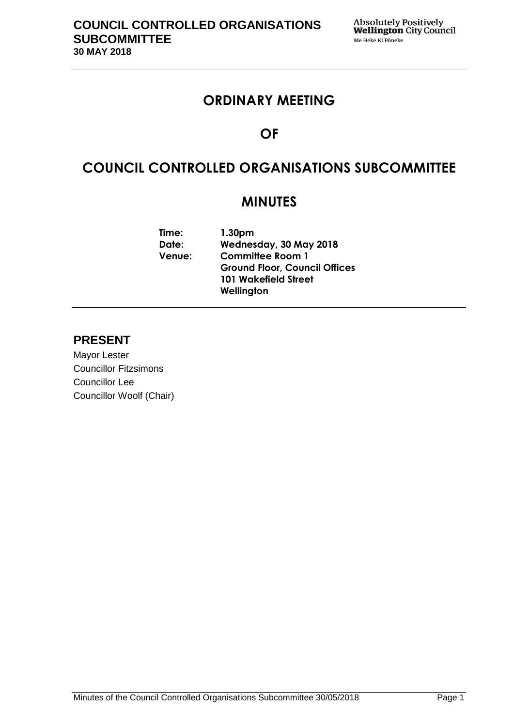## **ORDINARY MEETING**

# **OF**

# **COUNCIL CONTROLLED ORGANISATIONS SUBCOMMITTEE**

## **MINUTES**

| Time:         | 1.30 <sub>pm</sub>                   |  |  |
|---------------|--------------------------------------|--|--|
| Date:         | Wednesday, 30 May 2018               |  |  |
| <b>Venue:</b> | <b>Committee Room 1</b>              |  |  |
|               | <b>Ground Floor, Council Offices</b> |  |  |
|               | <b>101 Wakefield Street</b>          |  |  |
|               | Wellington                           |  |  |
|               |                                      |  |  |

## **PRESENT**

Mayor Lester Councillor Fitzsimons Councillor Lee Councillor Woolf (Chair)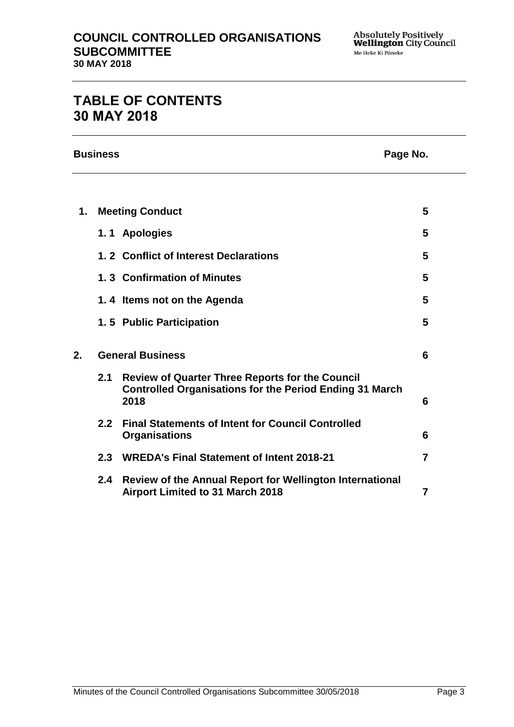## **TABLE OF CONTENTS 30 MAY 2018**

|    | <b>Business</b><br>Page No. |                                                                                                                                  |   |
|----|-----------------------------|----------------------------------------------------------------------------------------------------------------------------------|---|
|    |                             |                                                                                                                                  |   |
| 1. |                             | <b>Meeting Conduct</b>                                                                                                           | 5 |
|    |                             | 1.1 Apologies                                                                                                                    | 5 |
|    |                             | 1.2 Conflict of Interest Declarations                                                                                            | 5 |
|    |                             | 1.3 Confirmation of Minutes                                                                                                      | 5 |
|    |                             | 1.4 Items not on the Agenda                                                                                                      | 5 |
|    |                             | 1.5 Public Participation                                                                                                         | 5 |
| 2. | <b>General Business</b>     |                                                                                                                                  | 6 |
|    | 2.1                         | <b>Review of Quarter Three Reports for the Council</b><br><b>Controlled Organisations for the Period Ending 31 March</b><br>2018 | 6 |
|    | 2.2                         | <b>Final Statements of Intent for Council Controlled</b><br><b>Organisations</b>                                                 | 6 |
|    |                             | 2.3 WREDA's Final Statement of Intent 2018-21                                                                                    | 7 |
|    |                             | 2.4 Review of the Annual Report for Wellington International<br><b>Airport Limited to 31 March 2018</b>                          | 7 |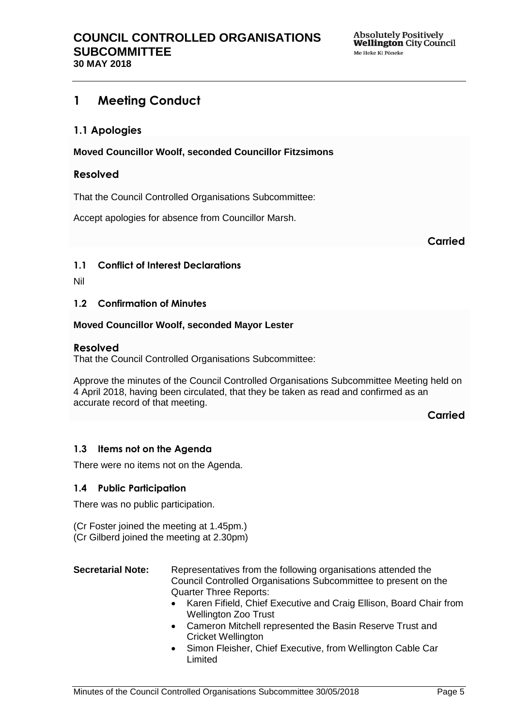## <span id="page-4-0"></span>**1 Meeting Conduct**

### <span id="page-4-1"></span>**1.1 Apologies**

**Moved Councillor Woolf, seconded Councillor Fitzsimons**

#### **Resolved**

That the Council Controlled Organisations Subcommittee:

Accept apologies for absence from Councillor Marsh.

**Carried**

#### <span id="page-4-2"></span>**1.1 Conflict of Interest Declarations**

Nil

#### <span id="page-4-3"></span>**1.2 Confirmation of Minutes**

#### **Moved Councillor Woolf, seconded Mayor Lester**

#### **Resolved**

That the Council Controlled Organisations Subcommittee:

Approve the minutes of the Council Controlled Organisations Subcommittee Meeting held on 4 April 2018, having been circulated, that they be taken as read and confirmed as an accurate record of that meeting.

**Carried**

#### <span id="page-4-4"></span>**1.3 Items not on the Agenda**

There were no items not on the Agenda.

#### **1.4 Public Participation**

There was no public participation.

(Cr Foster joined the meeting at 1.45pm.) (Cr Gilberd joined the meeting at 2.30pm)

#### **Secretarial Note:** Representatives from the following organisations attended the Council Controlled Organisations Subcommittee to present on the Quarter Three Reports:

- Karen Fifield, Chief Executive and Craig Ellison, Board Chair from Wellington Zoo Trust
- Cameron Mitchell represented the Basin Reserve Trust and Cricket Wellington
- Simon Fleisher, Chief Executive, from Wellington Cable Car Limited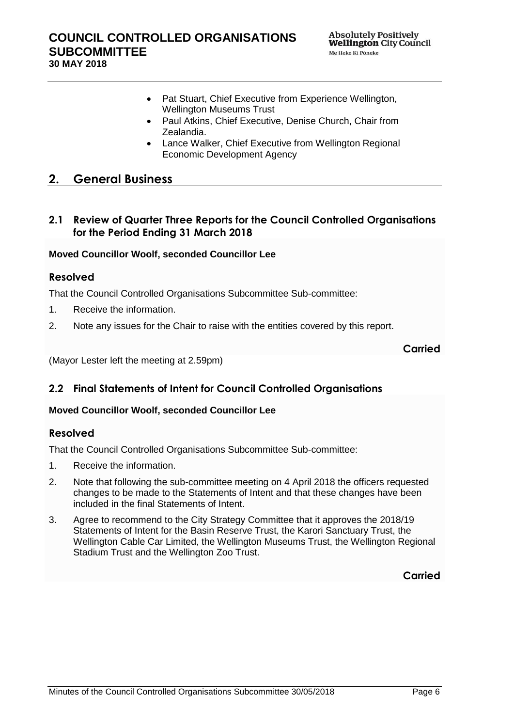- Pat Stuart, Chief Executive from Experience Wellington, Wellington Museums Trust
- Paul Atkins, Chief Executive, Denise Church, Chair from Zealandia.
- Lance Walker, Chief Executive from Wellington Regional Economic Development Agency

## <span id="page-5-0"></span>**2. General Business**

## <span id="page-5-1"></span>**2.1 Review of Quarter Three Reports for the Council Controlled Organisations for the Period Ending 31 March 2018**

#### **Moved Councillor Woolf, seconded Councillor Lee**

### **Resolved**

That the Council Controlled Organisations Subcommittee Sub-committee:

- 1. Receive the information.
- 2. Note any issues for the Chair to raise with the entities covered by this report.

**Carried**

(Mayor Lester left the meeting at 2.59pm)

## <span id="page-5-2"></span>**2.2 Final Statements of Intent for Council Controlled Organisations**

#### **Moved Councillor Woolf, seconded Councillor Lee**

### **Resolved**

That the Council Controlled Organisations Subcommittee Sub-committee:

- 1. Receive the information.
- 2. Note that following the sub-committee meeting on 4 April 2018 the officers requested changes to be made to the Statements of Intent and that these changes have been included in the final Statements of Intent.
- 3. Agree to recommend to the City Strategy Committee that it approves the 2018/19 Statements of Intent for the Basin Reserve Trust, the Karori Sanctuary Trust, the Wellington Cable Car Limited, the Wellington Museums Trust, the Wellington Regional Stadium Trust and the Wellington Zoo Trust.

**Carried**